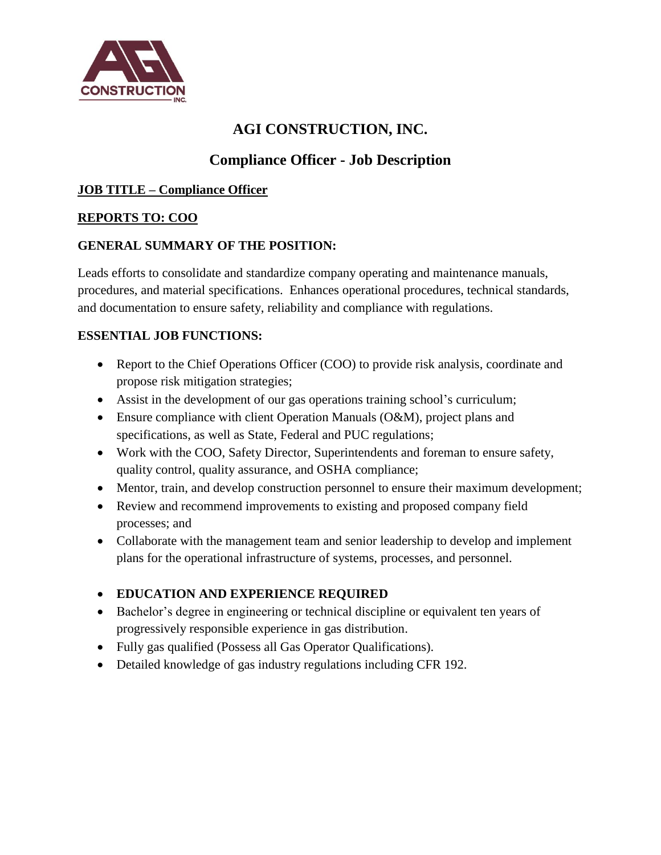

# **AGI CONSTRUCTION, INC.**

## **Compliance Officer - Job Description**

#### **JOB TITLE – Compliance Officer**

#### **REPORTS TO: COO**

#### **GENERAL SUMMARY OF THE POSITION:**

Leads efforts to consolidate and standardize company operating and maintenance manuals, procedures, and material specifications. Enhances operational procedures, technical standards, and documentation to ensure safety, reliability and compliance with regulations.

#### **ESSENTIAL JOB FUNCTIONS:**

- Report to the Chief Operations Officer (COO) to provide risk analysis, coordinate and propose risk mitigation strategies;
- Assist in the development of our gas operations training school's curriculum;
- Ensure compliance with client Operation Manuals (O&M), project plans and specifications, as well as State, Federal and PUC regulations;
- Work with the COO, Safety Director, Superintendents and foreman to ensure safety, quality control, quality assurance, and OSHA compliance;
- Mentor, train, and develop construction personnel to ensure their maximum development;
- Review and recommend improvements to existing and proposed company field processes; and
- Collaborate with the management team and senior leadership to develop and implement plans for the operational infrastructure of systems, processes, and personnel.

### **EDUCATION AND EXPERIENCE REQUIRED**

- Bachelor's degree in engineering or technical discipline or equivalent ten years of progressively responsible experience in gas distribution.
- Fully gas qualified (Possess all Gas Operator Qualifications).
- Detailed knowledge of gas industry regulations including CFR 192.